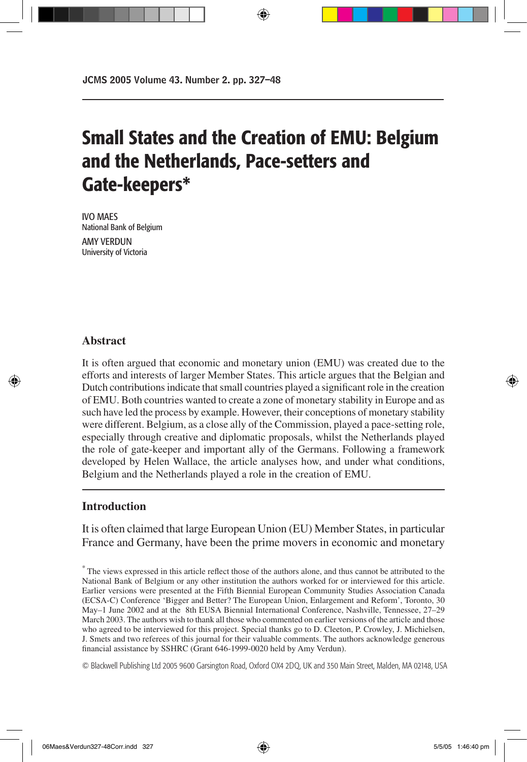# Small States and the Creation of EMU: Belgium and the Netherlands, Pace-setters and Gate-keepers\*

IVO MAES National Bank of Belgium

AMY VERDUN University of Victoria

## **Abstract**

It is often argued that economic and monetary union (EMU) was created due to the efforts and interests of larger Member States. This article argues that the Belgian and Dutch contributions indicate that small countries played a significant role in the creation of EMU. Both countries wanted to create a zone of monetary stability in Europe and as such have led the process by example. However, their conceptions of monetary stability were different. Belgium, as a close ally of the Commission, played a pace-setting role, especially through creative and diplomatic proposals, whilst the Netherlands played the role of gate-keeper and important ally of the Germans. Following a framework developed by Helen Wallace, the article analyses how, and under what conditions, Belgium and the Netherlands played a role in the creation of EMU.

## **Introduction**

It is often claimed that large European Union (EU) Member States, in particular France and Germany, have been the prime movers in economic and monetary

\* The views expressed in this article reflect those of the authors alone, and thus cannot be attributed to the National Bank of Belgium or any other institution the authors worked for or interviewed for this article. Earlier versions were presented at the Fifth Biennial European Community Studies Association Canada (ECSA-C) Conference 'Bigger and Better? The European Union, Enlargement and Reform', Toronto, 30 May–1 June 2002 and at the 8th EUSA Biennial International Conference, Nashville, Tennessee, 27–29 March 2003. The authors wish to thank all those who commented on earlier versions of the article and those who agreed to be interviewed for this project. Special thanks go to D. Cleeton, P. Crowley, J. Michielsen, J. Smets and two referees of this journal for their valuable comments. The authors acknowledge generous financial assistance by SSHRC (Grant 646-1999-0020 held by Amy Verdun).

© Blackwell Publishing Ltd 2005 9600 Garsington Road, Oxford OX4 2DQ, UK and 350 Main Street, Malden, MA 02148, USA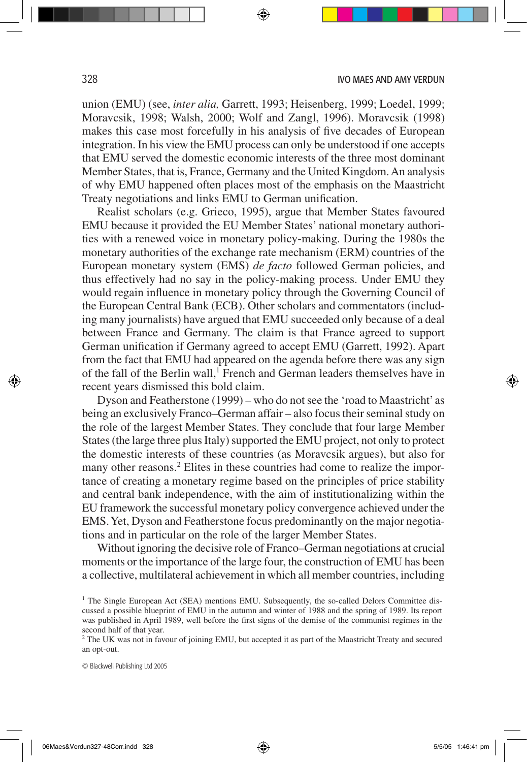union (EMU) (see, *inter alia,* Garrett, 1993; Heisenberg, 1999; Loedel, 1999; Moravcsik, 1998; Walsh, 2000; Wolf and Zangl, 1996). Moravcsik (1998) makes this case most forcefully in his analysis of five decades of European integration. In his view the EMU process can only be understood if one accepts that EMU served the domestic economic interests of the three most dominant Member States, that is, France, Germany and the United Kingdom. An analysis of why EMU happened often places most of the emphasis on the Maastricht Treaty negotiations and links EMU to German unification.

Realist scholars (e.g. Grieco, 1995), argue that Member States favoured EMU because it provided the EU Member States' national monetary authorities with a renewed voice in monetary policy-making. During the 1980s the monetary authorities of the exchange rate mechanism (ERM) countries of the European monetary system (EMS) *de facto* followed German policies, and thus effectively had no say in the policy-making process. Under EMU they would regain influence in monetary policy through the Governing Council of the European Central Bank (ECB). Other scholars and commentators (including many journalists) have argued that EMU succeeded only because of a deal between France and Germany. The claim is that France agreed to support German unification if Germany agreed to accept EMU (Garrett, 1992). Apart from the fact that EMU had appeared on the agenda before there was any sign of the fall of the Berlin wall,<sup>1</sup> French and German leaders themselves have in recent years dismissed this bold claim.

Dyson and Featherstone (1999) – who do not see the 'road to Maastricht' as being an exclusively Franco–German affair – also focus their seminal study on the role of the largest Member States. They conclude that four large Member States (the large three plus Italy) supported the EMU project, not only to protect the domestic interests of these countries (as Moravcsik argues), but also for many other reasons.<sup>2</sup> Elites in these countries had come to realize the importance of creating a monetary regime based on the principles of price stability and central bank independence, with the aim of institutionalizing within the EU framework the successful monetary policy convergence achieved under the EMS. Yet, Dyson and Featherstone focus predominantly on the major negotiations and in particular on the role of the larger Member States.

Without ignoring the decisive role of Franco–German negotiations at crucial moments or the importance of the large four, the construction of EMU has been a collective, multilateral achievement in which all member countries, including

<sup>&</sup>lt;sup>1</sup> The Single European Act (SEA) mentions EMU. Subsequently, the so-called Delors Committee discussed a possible blueprint of EMU in the autumn and winter of 1988 and the spring of 1989. Its report was published in April 1989, well before the first signs of the demise of the communist regimes in the second half of that year.

<sup>&</sup>lt;sup>2</sup> The UK was not in favour of joining EMU, but accepted it as part of the Maastricht Treaty and secured an opt-out.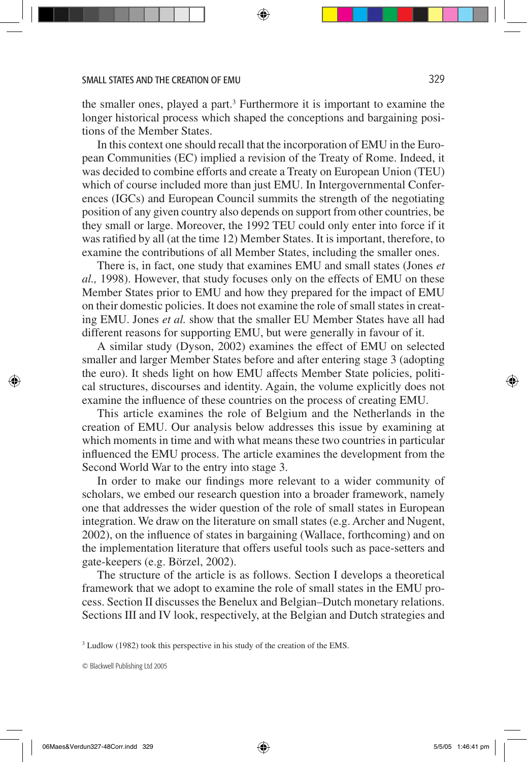the smaller ones, played a part.<sup>3</sup> Furthermore it is important to examine the longer historical process which shaped the conceptions and bargaining positions of the Member States.

In this context one should recall that the incorporation of EMU in the European Communities (EC) implied a revision of the Treaty of Rome. Indeed, it was decided to combine efforts and create a Treaty on European Union (TEU) which of course included more than just EMU. In Intergovernmental Conferences (IGCs) and European Council summits the strength of the negotiating position of any given country also depends on support from other countries, be they small or large. Moreover, the 1992 TEU could only enter into force if it was ratified by all (at the time 12) Member States. It is important, therefore, to examine the contributions of all Member States, including the smaller ones.

There is, in fact, one study that examines EMU and small states (Jones *et al.,* 1998). However, that study focuses only on the effects of EMU on these Member States prior to EMU and how they prepared for the impact of EMU on their domestic policies. It does not examine the role of small states in creating EMU. Jones *et al.* show that the smaller EU Member States have all had different reasons for supporting EMU, but were generally in favour of it.

A similar study (Dyson, 2002) examines the effect of EMU on selected smaller and larger Member States before and after entering stage 3 (adopting the euro). It sheds light on how EMU affects Member State policies, political structures, discourses and identity. Again, the volume explicitly does not examine the influence of these countries on the process of creating EMU.

This article examines the role of Belgium and the Netherlands in the creation of EMU. Our analysis below addresses this issue by examining at which moments in time and with what means these two countries in particular influenced the EMU process. The article examines the development from the Second World War to the entry into stage 3.

In order to make our findings more relevant to a wider community of scholars, we embed our research question into a broader framework, namely one that addresses the wider question of the role of small states in European integration. We draw on the literature on small states (e.g. Archer and Nugent, 2002), on the influence of states in bargaining (Wallace, forthcoming) and on the implementation literature that offers useful tools such as pace-setters and gate-keepers (e.g. Börzel, 2002).

The structure of the article is as follows. Section I develops a theoretical framework that we adopt to examine the role of small states in the EMU process. Section II discusses the Benelux and Belgian–Dutch monetary relations. Sections III and IV look, respectively, at the Belgian and Dutch strategies and

<sup>&</sup>lt;sup>3</sup> Ludlow (1982) took this perspective in his study of the creation of the EMS.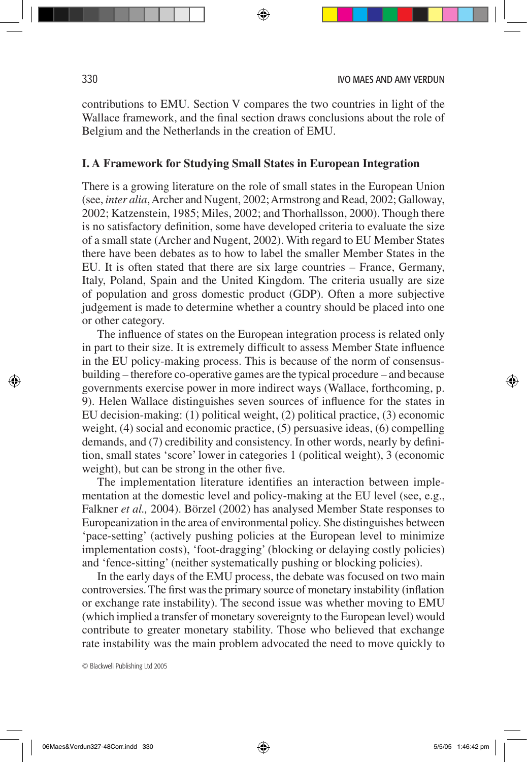contributions to EMU. Section V compares the two countries in light of the Wallace framework, and the final section draws conclusions about the role of Belgium and the Netherlands in the creation of EMU.

#### **I. A Framework for Studying Small States in European Integration**

There is a growing literature on the role of small states in the European Union (see, *inter alia*, Archer and Nugent, 2002; Armstrong and Read, 2002; Galloway, 2002; Katzenstein, 1985; Miles, 2002; and Thorhallsson, 2000). Though there is no satisfactory definition, some have developed criteria to evaluate the size of a small state (Archer and Nugent, 2002). With regard to EU Member States there have been debates as to how to label the smaller Member States in the EU. It is often stated that there are six large countries – France, Germany, Italy, Poland, Spain and the United Kingdom. The criteria usually are size of population and gross domestic product (GDP). Often a more subjective judgement is made to determine whether a country should be placed into one or other category.

The influence of states on the European integration process is related only in part to their size. It is extremely difficult to assess Member State influence in the EU policy-making process. This is because of the norm of consensusbuilding – therefore co-operative games are the typical procedure – and because governments exercise power in more indirect ways (Wallace, forthcoming, p. 9). Helen Wallace distinguishes seven sources of influence for the states in EU decision-making: (1) political weight, (2) political practice, (3) economic weight, (4) social and economic practice, (5) persuasive ideas, (6) compelling demands, and (7) credibility and consistency. In other words, nearly by definition, small states 'score' lower in categories 1 (political weight), 3 (economic weight), but can be strong in the other five.

The implementation literature identifies an interaction between implementation at the domestic level and policy-making at the EU level (see, e.g., Falkner *et al.,* 2004). Börzel (2002) has analysed Member State responses to Europeanization in the area of environmental policy. She distinguishes between 'pace-setting' (actively pushing policies at the European level to minimize implementation costs), 'foot-dragging' (blocking or delaying costly policies) and 'fence-sitting' (neither systematically pushing or blocking policies).

In the early days of the EMU process, the debate was focused on two main controversies. The first was the primary source of monetary instability (inflation or exchange rate instability). The second issue was whether moving to EMU (which implied a transfer of monetary sovereignty to the European level) would contribute to greater monetary stability. Those who believed that exchange rate instability was the main problem advocated the need to move quickly to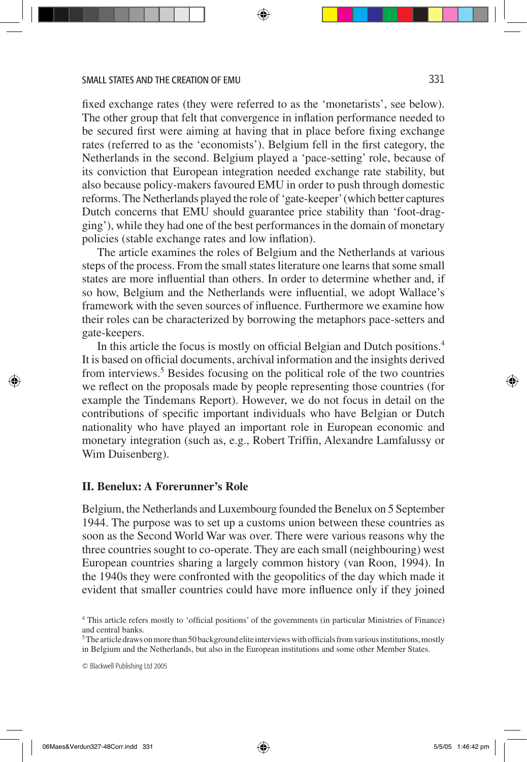fixed exchange rates (they were referred to as the 'monetarists', see below). The other group that felt that convergence in inflation performance needed to be secured first were aiming at having that in place before fixing exchange rates (referred to as the 'economists'). Belgium fell in the first category, the Netherlands in the second. Belgium played a 'pace-setting' role, because of its conviction that European integration needed exchange rate stability, but also because policy-makers favoured EMU in order to push through domestic reforms. The Netherlands played the role of 'gate-keeper' (which better captures Dutch concerns that EMU should guarantee price stability than 'foot-dragging'), while they had one of the best performances in the domain of monetary policies (stable exchange rates and low inflation).

The article examines the roles of Belgium and the Netherlands at various steps of the process. From the small states literature one learns that some small states are more influential than others. In order to determine whether and, if so how, Belgium and the Netherlands were influential, we adopt Wallace's framework with the seven sources of influence. Furthermore we examine how their roles can be characterized by borrowing the metaphors pace-setters and gate-keepers.

In this article the focus is mostly on official Belgian and Dutch positions.4 It is based on official documents, archival information and the insights derived from interviews.<sup>5</sup> Besides focusing on the political role of the two countries we reflect on the proposals made by people representing those countries (for example the Tindemans Report). However, we do not focus in detail on the contributions of specific important individuals who have Belgian or Dutch nationality who have played an important role in European economic and monetary integration (such as, e.g., Robert Triffin, Alexandre Lamfalussy or Wim Duisenberg).

## **II. Benelux: A Forerunner's Role**

Belgium, the Netherlands and Luxembourg founded the Benelux on 5 September 1944. The purpose was to set up a customs union between these countries as soon as the Second World War was over. There were various reasons why the three countries sought to co-operate. They are each small (neighbouring) west European countries sharing a largely common history (van Roon, 1994). In the 1940s they were confronted with the geopolitics of the day which made it evident that smaller countries could have more influence only if they joined

<sup>4</sup> This article refers mostly to 'official positions' of the governments (in particular Ministries of Finance) and central banks.

 $5$ The article draws on more than 50 background elite interviews with officials from various institutions, mostly in Belgium and the Netherlands, but also in the European institutions and some other Member States.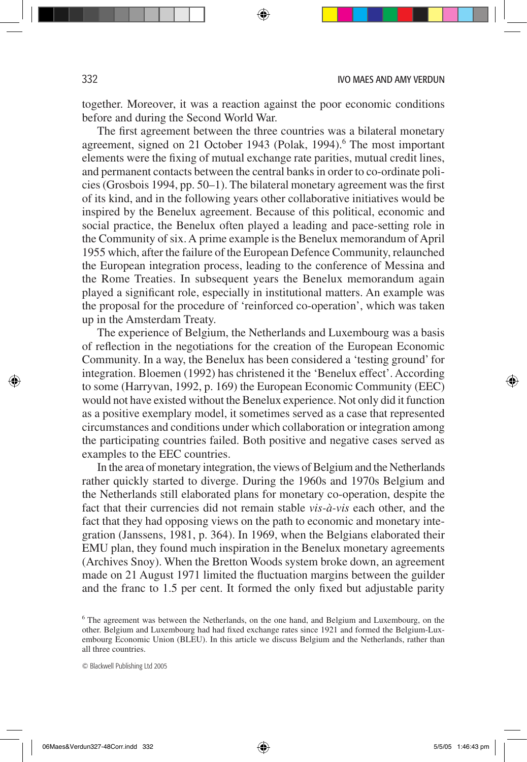together. Moreover, it was a reaction against the poor economic conditions before and during the Second World War.

The first agreement between the three countries was a bilateral monetary agreement, signed on 21 October 1943 (Polak, 1994).<sup>6</sup> The most important elements were the fixing of mutual exchange rate parities, mutual credit lines, and permanent contacts between the central banks in order to co-ordinate policies (Grosbois 1994, pp. 50–1). The bilateral monetary agreement was the first of its kind, and in the following years other collaborative initiatives would be inspired by the Benelux agreement. Because of this political, economic and social practice, the Benelux often played a leading and pace-setting role in the Community of six. A prime example is the Benelux memorandum of April 1955 which, after the failure of the European Defence Community, relaunched the European integration process, leading to the conference of Messina and the Rome Treaties. In subsequent years the Benelux memorandum again played a significant role, especially in institutional matters. An example was the proposal for the procedure of 'reinforced co-operation', which was taken up in the Amsterdam Treaty.

The experience of Belgium, the Netherlands and Luxembourg was a basis of reflection in the negotiations for the creation of the European Economic Community. In a way, the Benelux has been considered a 'testing ground' for integration. Bloemen (1992) has christened it the 'Benelux effect'. According to some (Harryvan, 1992, p. 169) the European Economic Community (EEC) would not have existed without the Benelux experience. Not only did it function as a positive exemplary model, it sometimes served as a case that represented circumstances and conditions under which collaboration or integration among the participating countries failed. Both positive and negative cases served as examples to the EEC countries.

In the area of monetary integration, the views of Belgium and the Netherlands rather quickly started to diverge. During the 1960s and 1970s Belgium and the Netherlands still elaborated plans for monetary co-operation, despite the fact that their currencies did not remain stable *vis-à-vis* each other, and the fact that they had opposing views on the path to economic and monetary integration (Janssens, 1981, p. 364). In 1969, when the Belgians elaborated their EMU plan, they found much inspiration in the Benelux monetary agreements (Archives Snoy). When the Bretton Woods system broke down, an agreement made on 21 August 1971 limited the fluctuation margins between the guilder and the franc to 1.5 per cent. It formed the only fixed but adjustable parity

<sup>6</sup> The agreement was between the Netherlands, on the one hand, and Belgium and Luxembourg, on the other. Belgium and Luxembourg had had fixed exchange rates since 1921 and formed the Belgium-Luxembourg Economic Union (BLEU). In this article we discuss Belgium and the Netherlands, rather than all three countries.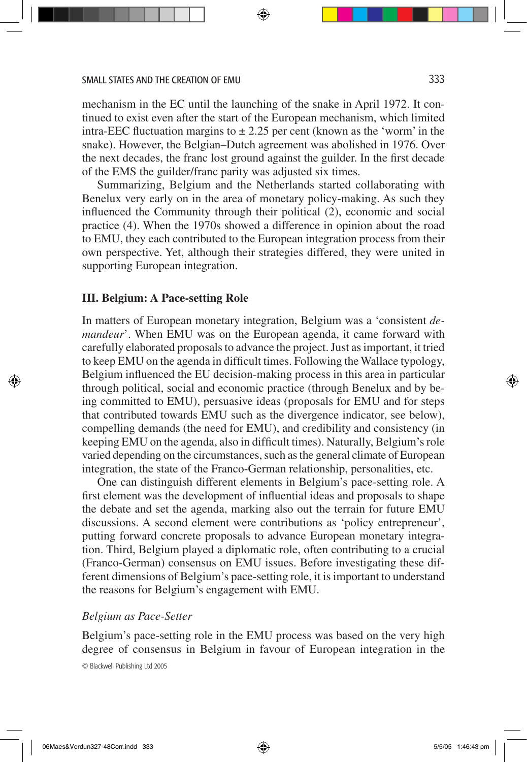mechanism in the EC until the launching of the snake in April 1972. It continued to exist even after the start of the European mechanism, which limited intra-EEC fluctuation margins to  $\pm 2.25$  per cent (known as the 'worm' in the snake). However, the Belgian–Dutch agreement was abolished in 1976. Over the next decades, the franc lost ground against the guilder. In the first decade of the EMS the guilder/franc parity was adjusted six times.

Summarizing, Belgium and the Netherlands started collaborating with Benelux very early on in the area of monetary policy-making. As such they influenced the Community through their political (2), economic and social practice (4). When the 1970s showed a difference in opinion about the road to EMU, they each contributed to the European integration process from their own perspective. Yet, although their strategies differed, they were united in supporting European integration.

## **III. Belgium: A Pace-setting Role**

In matters of European monetary integration, Belgium was a 'consistent *demandeur*'. When EMU was on the European agenda, it came forward with carefully elaborated proposals to advance the project. Just as important, it tried to keep EMU on the agenda in difficult times. Following the Wallace typology, Belgium influenced the EU decision-making process in this area in particular through political, social and economic practice (through Benelux and by being committed to EMU), persuasive ideas (proposals for EMU and for steps that contributed towards EMU such as the divergence indicator, see below), compelling demands (the need for EMU), and credibility and consistency (in keeping EMU on the agenda, also in difficult times). Naturally, Belgium's role varied depending on the circumstances, such as the general climate of European integration, the state of the Franco-German relationship, personalities, etc.

One can distinguish different elements in Belgium's pace-setting role. A first element was the development of influential ideas and proposals to shape the debate and set the agenda, marking also out the terrain for future EMU discussions. A second element were contributions as 'policy entrepreneur', putting forward concrete proposals to advance European monetary integration. Third, Belgium played a diplomatic role, often contributing to a crucial (Franco-German) consensus on EMU issues. Before investigating these different dimensions of Belgium's pace-setting role, it is important to understand the reasons for Belgium's engagement with EMU.

#### *Belgium as Pace-Setter*

Belgium's pace-setting role in the EMU process was based on the very high degree of consensus in Belgium in favour of European integration in the

<sup>©</sup> Blackwell Publishing Ltd 2005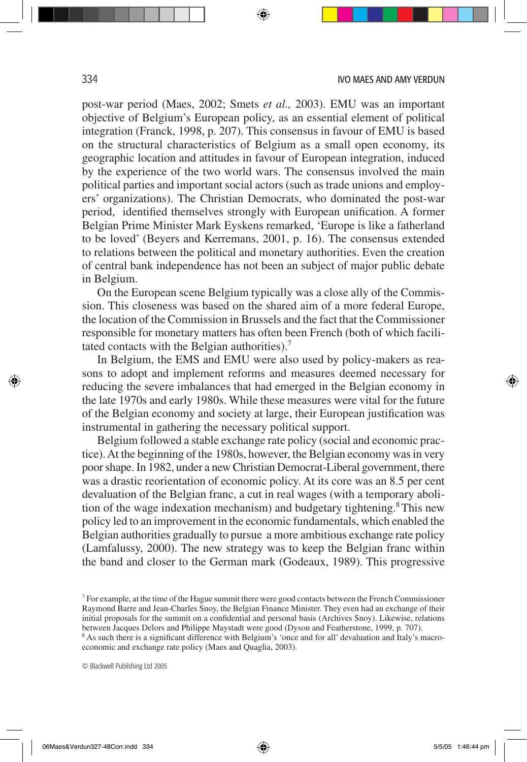post-war period (Maes, 2002; Smets *et al.,* 2003). EMU was an important objective of Belgium's European policy, as an essential element of political integration (Franck, 1998, p. 207). This consensus in favour of EMU is based on the structural characteristics of Belgium as a small open economy, its geographic location and attitudes in favour of European integration, induced by the experience of the two world wars. The consensus involved the main political parties and important social actors (such as trade unions and employers' organizations). The Christian Democrats, who dominated the post-war period, identified themselves strongly with European unification. A former Belgian Prime Minister Mark Eyskens remarked, 'Europe is like a fatherland to be loved' (Beyers and Kerremans, 2001, p. 16). The consensus extended to relations between the political and monetary authorities. Even the creation of central bank independence has not been an subject of major public debate in Belgium.

On the European scene Belgium typically was a close ally of the Commission. This closeness was based on the shared aim of a more federal Europe, the location of the Commission in Brussels and the fact that the Commissioner responsible for monetary matters has often been French (both of which facilitated contacts with the Belgian authorities).7

In Belgium, the EMS and EMU were also used by policy-makers as reasons to adopt and implement reforms and measures deemed necessary for reducing the severe imbalances that had emerged in the Belgian economy in the late 1970s and early 1980s. While these measures were vital for the future of the Belgian economy and society at large, their European justification was instrumental in gathering the necessary political support.

Belgium followed a stable exchange rate policy (social and economic practice). At the beginning of the 1980s, however, the Belgian economy was in very poor shape. In 1982, under a new Christian Democrat-Liberal government, there was a drastic reorientation of economic policy. At its core was an 8.5 per cent devaluation of the Belgian franc, a cut in real wages (with a temporary abolition of the wage indexation mechanism) and budgetary tightening.<sup>8</sup>This new policy led to an improvement in the economic fundamentals, which enabled the Belgian authorities gradually to pursue a more ambitious exchange rate policy (Lamfalussy, 2000). The new strategy was to keep the Belgian franc within the band and closer to the German mark (Godeaux, 1989). This progressive

<sup>7</sup> For example, at the time of the Hague summit there were good contacts between the French Commissioner Raymond Barre and Jean-Charles Snoy, the Belgian Finance Minister. They even had an exchange of their initial proposals for the summit on a confidential and personal basis (Archives Snoy). Likewise, relations between Jacques Delors and Philippe Maystadt were good (Dyson and Featherstone, 1999, p. 707).

<sup>&</sup>lt;sup>8</sup> As such there is a significant difference with Belgium's 'once and for all' devaluation and Italy's macroeconomic and exchange rate policy (Maes and Quaglia, 2003).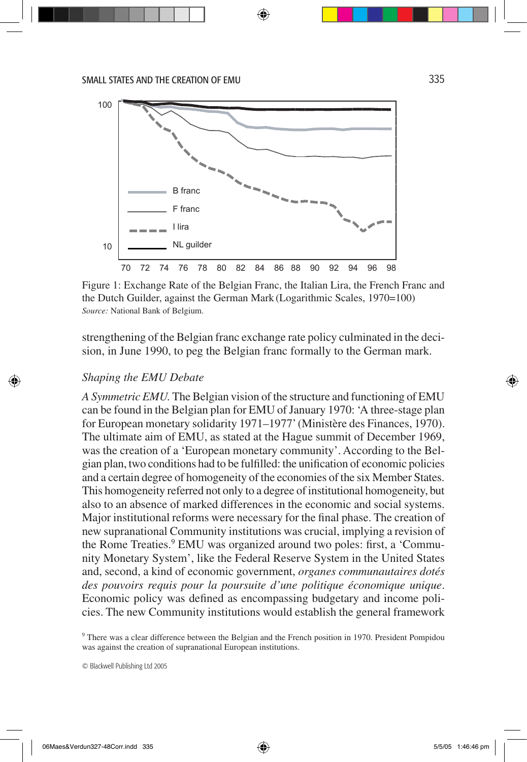

Figure 1: Exchange Rate of the Belgian Franc, the Italian Lira, the French Franc and the Dutch Guilder, against the German Mark (Logarithmic Scales, 1970=100) *Source:* National Bank of Belgium.

strengthening of the Belgian franc exchange rate policy culminated in the decision, in June 1990, to peg the Belgian franc formally to the German mark.

## *Shaping the EMU Debate*

*A Symmetric EMU.* The Belgian vision of the structure and functioning of EMU can be found in the Belgian plan for EMU of January 1970: 'A three-stage plan for European monetary solidarity 1971–1977' (Ministère des Finances, 1970). The ultimate aim of EMU, as stated at the Hague summit of December 1969, was the creation of a 'European monetary community'. According to the Belgian plan, two conditions had to be fulfilled: the unification of economic policies and a certain degree of homogeneity of the economies of the six Member States. This homogeneity referred not only to a degree of institutional homogeneity, but also to an absence of marked differences in the economic and social systems. Major institutional reforms were necessary for the final phase. The creation of new supranational Community institutions was crucial, implying a revision of the Rome Treaties.<sup>9</sup> EMU was organized around two poles: first, a 'Community Monetary System', like the Federal Reserve System in the United States and, second, a kind of economic government, *organes communautaires dotés des pouvoirs requis pour la poursuite d'une politique économique unique*. Economic policy was defined as encompassing budgetary and income policies. The new Community institutions would establish the general framework

<sup>9</sup> There was a clear difference between the Belgian and the French position in 1970. President Pompidou was against the creation of supranational European institutions.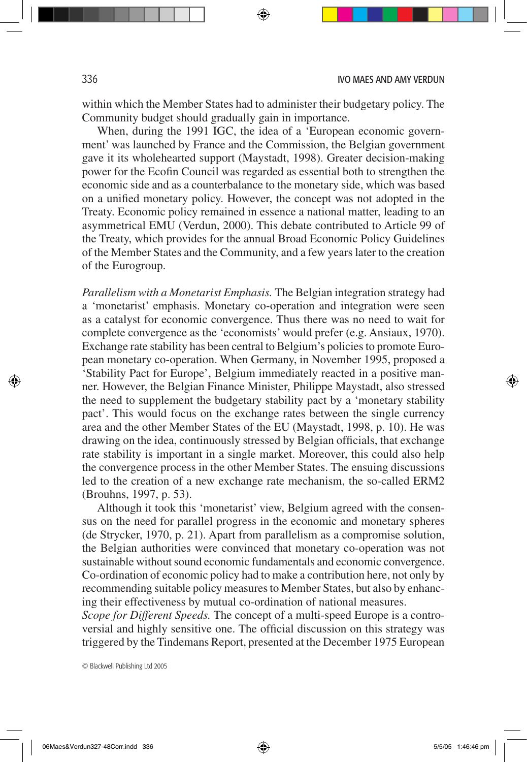within which the Member States had to administer their budgetary policy. The Community budget should gradually gain in importance.

When, during the 1991 IGC, the idea of a 'European economic government' was launched by France and the Commission, the Belgian government gave it its wholehearted support (Maystadt, 1998). Greater decision-making power for the Ecofin Council was regarded as essential both to strengthen the economic side and as a counterbalance to the monetary side, which was based on a unified monetary policy. However, the concept was not adopted in the Treaty. Economic policy remained in essence a national matter, leading to an asymmetrical EMU (Verdun, 2000). This debate contributed to Article 99 of the Treaty, which provides for the annual Broad Economic Policy Guidelines of the Member States and the Community, and a few years later to the creation of the Eurogroup.

*Parallelism with a Monetarist Emphasis.* The Belgian integration strategy had a 'monetarist' emphasis. Monetary co-operation and integration were seen as a catalyst for economic convergence. Thus there was no need to wait for complete convergence as the 'economists' would prefer (e.g. Ansiaux, 1970). Exchange rate stability has been central to Belgium's policies to promote European monetary co-operation. When Germany, in November 1995, proposed a 'Stability Pact for Europe', Belgium immediately reacted in a positive manner. However, the Belgian Finance Minister, Philippe Maystadt, also stressed the need to supplement the budgetary stability pact by a 'monetary stability pact'. This would focus on the exchange rates between the single currency area and the other Member States of the EU (Maystadt, 1998, p. 10). He was drawing on the idea, continuously stressed by Belgian officials, that exchange rate stability is important in a single market. Moreover, this could also help the convergence process in the other Member States. The ensuing discussions led to the creation of a new exchange rate mechanism, the so-called ERM2 (Brouhns, 1997, p. 53).

Although it took this 'monetarist' view, Belgium agreed with the consensus on the need for parallel progress in the economic and monetary spheres (de Strycker, 1970, p. 21). Apart from parallelism as a compromise solution, the Belgian authorities were convinced that monetary co-operation was not sustainable without sound economic fundamentals and economic convergence. Co-ordination of economic policy had to make a contribution here, not only by recommending suitable policy measures to Member States, but also by enhancing their effectiveness by mutual co-ordination of national measures.

*Scope for Different Speeds.* The concept of a multi-speed Europe is a controversial and highly sensitive one. The official discussion on this strategy was triggered by the Tindemans Report, presented at the December 1975 European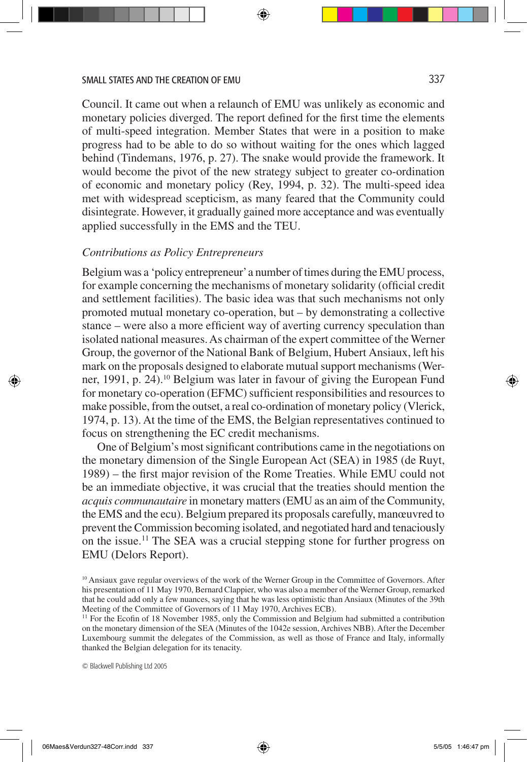Council. It came out when a relaunch of EMU was unlikely as economic and monetary policies diverged. The report defined for the first time the elements of multi-speed integration. Member States that were in a position to make progress had to be able to do so without waiting for the ones which lagged behind (Tindemans, 1976, p. 27). The snake would provide the framework. It would become the pivot of the new strategy subject to greater co-ordination of economic and monetary policy (Rey, 1994, p. 32). The multi-speed idea met with widespread scepticism, as many feared that the Community could disintegrate. However, it gradually gained more acceptance and was eventually applied successfully in the EMS and the TEU.

## *Contributions as Policy Entrepreneurs*

Belgium was a 'policy entrepreneur' a number of times during the EMU process, for example concerning the mechanisms of monetary solidarity (official credit and settlement facilities). The basic idea was that such mechanisms not only promoted mutual monetary co-operation, but – by demonstrating a collective stance – were also a more efficient way of averting currency speculation than isolated national measures. As chairman of the expert committee of the Werner Group, the governor of the National Bank of Belgium, Hubert Ansiaux, left his mark on the proposals designed to elaborate mutual support mechanisms (Werner, 1991, p. 24).<sup>10</sup> Belgium was later in favour of giving the European Fund for monetary co-operation (EFMC) sufficient responsibilities and resources to make possible, from the outset, a real co-ordination of monetary policy (Vlerick, 1974, p. 13). At the time of the EMS, the Belgian representatives continued to focus on strengthening the EC credit mechanisms.

One of Belgium's most significant contributions came in the negotiations on the monetary dimension of the Single European Act (SEA) in 1985 (de Ruyt, 1989) – the first major revision of the Rome Treaties. While EMU could not be an immediate objective, it was crucial that the treaties should mention the *acquis communautaire* in monetary matters (EMU as an aim of the Community, the EMS and the ecu). Belgium prepared its proposals carefully, manœuvred to prevent the Commission becoming isolated, and negotiated hard and tenaciously on the issue.11 The SEA was a crucial stepping stone for further progress on EMU (Delors Report).

<sup>&</sup>lt;sup>10</sup> Ansiaux gave regular overviews of the work of the Werner Group in the Committee of Governors. After his presentation of 11 May 1970, Bernard Clappier, who was also a member of the Werner Group, remarked that he could add only a few nuances, saying that he was less optimistic than Ansiaux (Minutes of the 39th Meeting of the Committee of Governors of 11 May 1970, Archives ECB).

<sup>&</sup>lt;sup>11</sup> For the Ecofin of 18 November 1985, only the Commission and Belgium had submitted a contribution on the monetary dimension of the SEA (Minutes of the 1042e session, Archives NBB). After the December Luxembourg summit the delegates of the Commission, as well as those of France and Italy, informally thanked the Belgian delegation for its tenacity.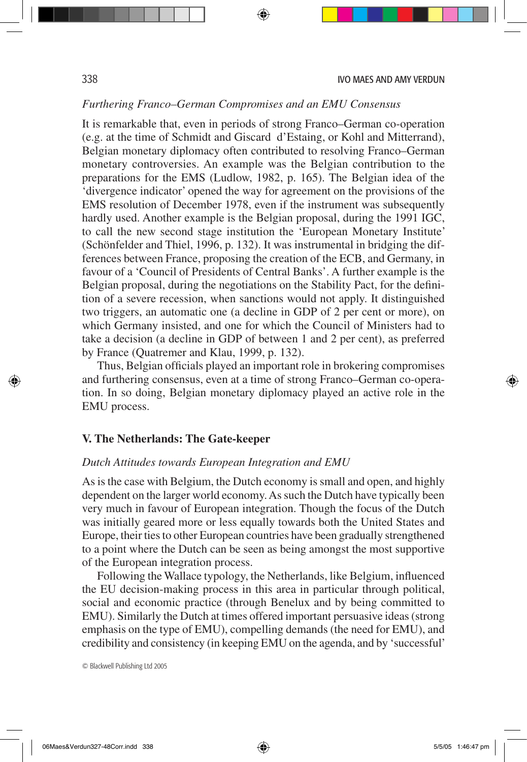#### *Furthering Franco–German Compromises and an EMU Consensus*

It is remarkable that, even in periods of strong Franco–German co-operation (e.g. at the time of Schmidt and Giscard d'Estaing, or Kohl and Mitterrand), Belgian monetary diplomacy often contributed to resolving Franco–German monetary controversies. An example was the Belgian contribution to the preparations for the EMS (Ludlow, 1982, p. 165). The Belgian idea of the 'divergence indicator' opened the way for agreement on the provisions of the EMS resolution of December 1978, even if the instrument was subsequently hardly used. Another example is the Belgian proposal, during the 1991 IGC, to call the new second stage institution the 'European Monetary Institute' (Schönfelder and Thiel, 1996, p. 132). It was instrumental in bridging the differences between France, proposing the creation of the ECB, and Germany, in favour of a 'Council of Presidents of Central Banks'. A further example is the Belgian proposal, during the negotiations on the Stability Pact, for the definition of a severe recession, when sanctions would not apply. It distinguished two triggers, an automatic one (a decline in GDP of 2 per cent or more), on which Germany insisted, and one for which the Council of Ministers had to take a decision (a decline in GDP of between 1 and 2 per cent), as preferred by France (Quatremer and Klau, 1999, p. 132).

Thus, Belgian officials played an important role in brokering compromises and furthering consensus, even at a time of strong Franco–German co-operation. In so doing, Belgian monetary diplomacy played an active role in the EMU process.

#### **V. The Netherlands: The Gate-keeper**

## *Dutch Attitudes towards European Integration and EMU*

As is the case with Belgium, the Dutch economy is small and open, and highly dependent on the larger world economy. As such the Dutch have typically been very much in favour of European integration. Though the focus of the Dutch was initially geared more or less equally towards both the United States and Europe, their ties to other European countries have been gradually strengthened to a point where the Dutch can be seen as being amongst the most supportive of the European integration process.

Following the Wallace typology, the Netherlands, like Belgium, influenced the EU decision-making process in this area in particular through political, social and economic practice (through Benelux and by being committed to EMU). Similarly the Dutch at times offered important persuasive ideas (strong emphasis on the type of EMU), compelling demands (the need for EMU), and credibility and consistency (in keeping EMU on the agenda, and by 'successful'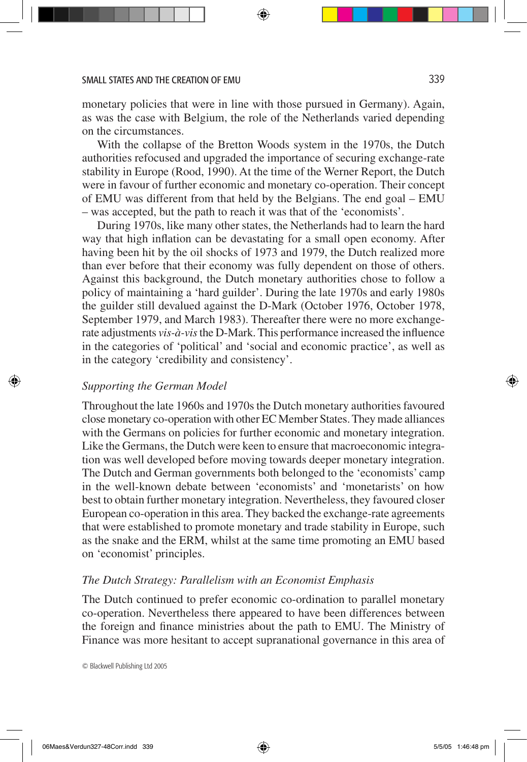monetary policies that were in line with those pursued in Germany). Again, as was the case with Belgium, the role of the Netherlands varied depending on the circumstances.

With the collapse of the Bretton Woods system in the 1970s, the Dutch authorities refocused and upgraded the importance of securing exchange-rate stability in Europe (Rood, 1990). At the time of the Werner Report, the Dutch were in favour of further economic and monetary co-operation. Their concept of EMU was different from that held by the Belgians. The end goal – EMU – was accepted, but the path to reach it was that of the 'economists'.

During 1970s, like many other states, the Netherlands had to learn the hard way that high inflation can be devastating for a small open economy. After having been hit by the oil shocks of 1973 and 1979, the Dutch realized more than ever before that their economy was fully dependent on those of others. Against this background, the Dutch monetary authorities chose to follow a policy of maintaining a 'hard guilder'. During the late 1970s and early 1980s the guilder still devalued against the D-Mark (October 1976, October 1978, September 1979, and March 1983). Thereafter there were no more exchangerate adjustments *vis-à-vis* the D-Mark. This performance increased the influence in the categories of 'political' and 'social and economic practice', as well as in the category 'credibility and consistency'.

## *Supporting the German Model*

Throughout the late 1960s and 1970s the Dutch monetary authorities favoured close monetary co-operation with other EC Member States. They made alliances with the Germans on policies for further economic and monetary integration. Like the Germans, the Dutch were keen to ensure that macroeconomic integration was well developed before moving towards deeper monetary integration. The Dutch and German governments both belonged to the 'economists' camp in the well-known debate between 'economists' and 'monetarists' on how best to obtain further monetary integration. Nevertheless, they favoured closer European co-operation in this area. They backed the exchange-rate agreements that were established to promote monetary and trade stability in Europe, such as the snake and the ERM, whilst at the same time promoting an EMU based on 'economist' principles.

## *The Dutch Strategy: Parallelism with an Economist Emphasis*

The Dutch continued to prefer economic co-ordination to parallel monetary co-operation. Nevertheless there appeared to have been differences between the foreign and finance ministries about the path to EMU. The Ministry of Finance was more hesitant to accept supranational governance in this area of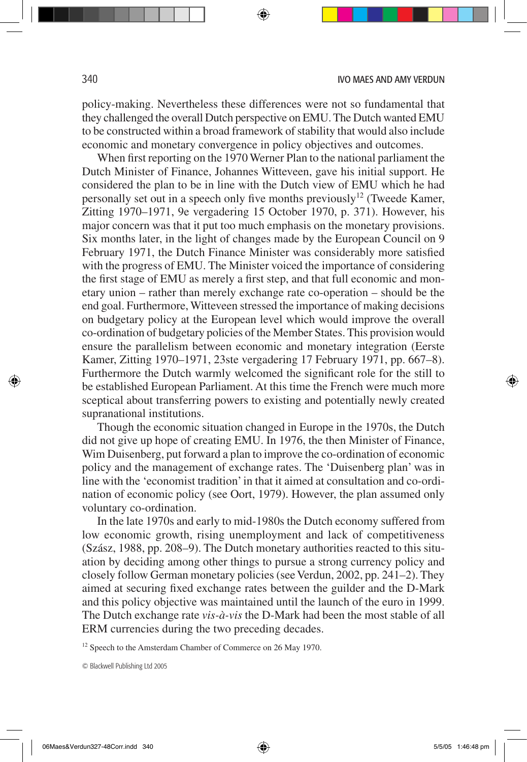policy-making. Nevertheless these differences were not so fundamental that they challenged the overall Dutch perspective on EMU. The Dutch wanted EMU to be constructed within a broad framework of stability that would also include economic and monetary convergence in policy objectives and outcomes.

When first reporting on the 1970 Werner Plan to the national parliament the Dutch Minister of Finance, Johannes Witteveen, gave his initial support. He considered the plan to be in line with the Dutch view of EMU which he had personally set out in a speech only five months previously<sup>12</sup> (Tweede Kamer, Zitting 1970–1971, 9e vergadering 15 October 1970, p. 371). However, his major concern was that it put too much emphasis on the monetary provisions. Six months later, in the light of changes made by the European Council on 9 February 1971, the Dutch Finance Minister was considerably more satisfied with the progress of EMU. The Minister voiced the importance of considering the first stage of EMU as merely a first step, and that full economic and monetary union – rather than merely exchange rate co-operation – should be the end goal. Furthermore, Witteveen stressed the importance of making decisions on budgetary policy at the European level which would improve the overall co-ordination of budgetary policies of the Member States. This provision would ensure the parallelism between economic and monetary integration (Eerste Kamer, Zitting 1970–1971, 23ste vergadering 17 February 1971, pp. 667–8). Furthermore the Dutch warmly welcomed the significant role for the still to be established European Parliament. At this time the French were much more sceptical about transferring powers to existing and potentially newly created supranational institutions.

Though the economic situation changed in Europe in the 1970s, the Dutch did not give up hope of creating EMU. In 1976, the then Minister of Finance, Wim Duisenberg, put forward a plan to improve the co-ordination of economic policy and the management of exchange rates. The 'Duisenberg plan' was in line with the 'economist tradition' in that it aimed at consultation and co-ordination of economic policy (see Oort, 1979). However, the plan assumed only voluntary co-ordination.

In the late 1970s and early to mid-1980s the Dutch economy suffered from low economic growth, rising unemployment and lack of competitiveness (Szász, 1988, pp. 208–9). The Dutch monetary authorities reacted to this situation by deciding among other things to pursue a strong currency policy and closely follow German monetary policies (see Verdun, 2002, pp. 241–2). They aimed at securing fixed exchange rates between the guilder and the D-Mark and this policy objective was maintained until the launch of the euro in 1999. The Dutch exchange rate *vis-à-vis* the D-Mark had been the most stable of all ERM currencies during the two preceding decades.

<sup>&</sup>lt;sup>12</sup> Speech to the Amsterdam Chamber of Commerce on 26 May 1970.

<sup>©</sup> Blackwell Publishing Ltd 2005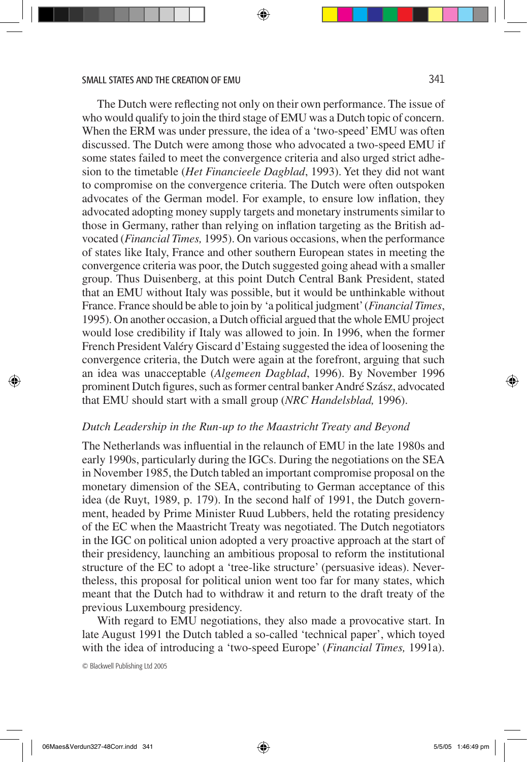The Dutch were reflecting not only on their own performance. The issue of who would qualify to join the third stage of EMU was a Dutch topic of concern. When the ERM was under pressure, the idea of a 'two-speed' EMU was often discussed. The Dutch were among those who advocated a two-speed EMU if some states failed to meet the convergence criteria and also urged strict adhesion to the timetable (*Het Financieele Dagblad*, 1993). Yet they did not want to compromise on the convergence criteria. The Dutch were often outspoken advocates of the German model. For example, to ensure low inflation, they advocated adopting money supply targets and monetary instruments similar to those in Germany, rather than relying on inflation targeting as the British advocated (*Financial Times,* 1995). On various occasions, when the performance of states like Italy, France and other southern European states in meeting the convergence criteria was poor, the Dutch suggested going ahead with a smaller group. Thus Duisenberg, at this point Dutch Central Bank President, stated that an EMU without Italy was possible, but it would be unthinkable without France. France should be able to join by 'a political judgment' (*Financial Times*, 1995). On another occasion, a Dutch official argued that the whole EMU project would lose credibility if Italy was allowed to join. In 1996, when the former French President Valéry Giscard d'Estaing suggested the idea of loosening the convergence criteria, the Dutch were again at the forefront, arguing that such an idea was unacceptable (*Algemeen Dagblad*, 1996). By November 1996 prominent Dutch figures, such as former central banker André Szász, advocated that EMU should start with a small group (*NRC Handelsblad,* 1996).

## *Dutch Leadership in the Run-up to the Maastricht Treaty and Beyond*

The Netherlands was influential in the relaunch of EMU in the late 1980s and early 1990s, particularly during the IGCs. During the negotiations on the SEA in November 1985, the Dutch tabled an important compromise proposal on the monetary dimension of the SEA, contributing to German acceptance of this idea (de Ruyt, 1989, p. 179). In the second half of 1991, the Dutch government, headed by Prime Minister Ruud Lubbers, held the rotating presidency of the EC when the Maastricht Treaty was negotiated. The Dutch negotiators in the IGC on political union adopted a very proactive approach at the start of their presidency, launching an ambitious proposal to reform the institutional structure of the EC to adopt a 'tree-like structure' (persuasive ideas). Nevertheless, this proposal for political union went too far for many states, which meant that the Dutch had to withdraw it and return to the draft treaty of the previous Luxembourg presidency.

With regard to EMU negotiations, they also made a provocative start. In late August 1991 the Dutch tabled a so-called 'technical paper', which toyed with the idea of introducing a 'two-speed Europe' (*Financial Times,* 1991a).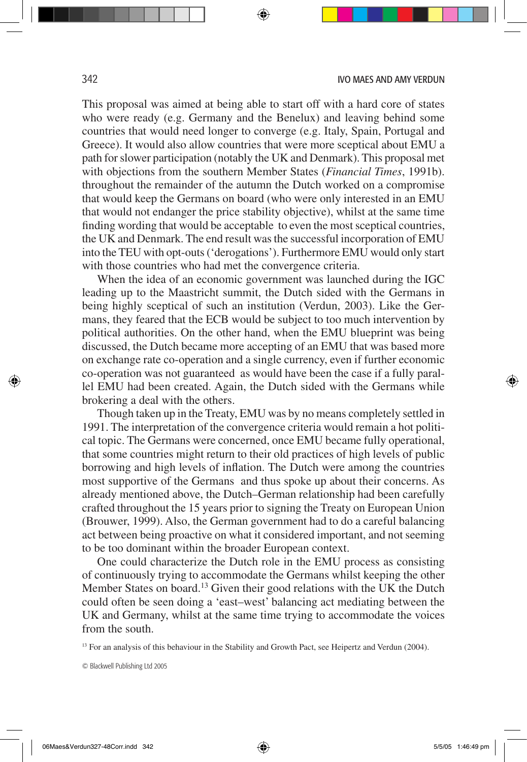This proposal was aimed at being able to start off with a hard core of states who were ready (e.g. Germany and the Benelux) and leaving behind some countries that would need longer to converge (e.g. Italy, Spain, Portugal and Greece). It would also allow countries that were more sceptical about EMU a path for slower participation (notably the UK and Denmark). This proposal met with objections from the southern Member States (*Financial Times*, 1991b). throughout the remainder of the autumn the Dutch worked on a compromise that would keep the Germans on board (who were only interested in an EMU that would not endanger the price stability objective), whilst at the same time finding wording that would be acceptable to even the most sceptical countries, the UK and Denmark. The end result was the successful incorporation of EMU into the TEU with opt-outs ('derogations'). Furthermore EMU would only start with those countries who had met the convergence criteria.

When the idea of an economic government was launched during the IGC leading up to the Maastricht summit, the Dutch sided with the Germans in being highly sceptical of such an institution (Verdun, 2003). Like the Germans, they feared that the ECB would be subject to too much intervention by political authorities. On the other hand, when the EMU blueprint was being discussed, the Dutch became more accepting of an EMU that was based more on exchange rate co-operation and a single currency, even if further economic co-operation was not guaranteed as would have been the case if a fully parallel EMU had been created. Again, the Dutch sided with the Germans while brokering a deal with the others.

Though taken up in the Treaty, EMU was by no means completely settled in 1991. The interpretation of the convergence criteria would remain a hot political topic. The Germans were concerned, once EMU became fully operational, that some countries might return to their old practices of high levels of public borrowing and high levels of inflation. The Dutch were among the countries most supportive of the Germans and thus spoke up about their concerns. As already mentioned above, the Dutch–German relationship had been carefully crafted throughout the 15 years prior to signing the Treaty on European Union (Brouwer, 1999). Also, the German government had to do a careful balancing act between being proactive on what it considered important, and not seeming to be too dominant within the broader European context.

One could characterize the Dutch role in the EMU process as consisting of continuously trying to accommodate the Germans whilst keeping the other Member States on board.<sup>13</sup> Given their good relations with the UK the Dutch could often be seen doing a 'east–west' balancing act mediating between the UK and Germany, whilst at the same time trying to accommodate the voices from the south.

<sup>13</sup> For an analysis of this behaviour in the Stability and Growth Pact, see Heipertz and Verdun (2004).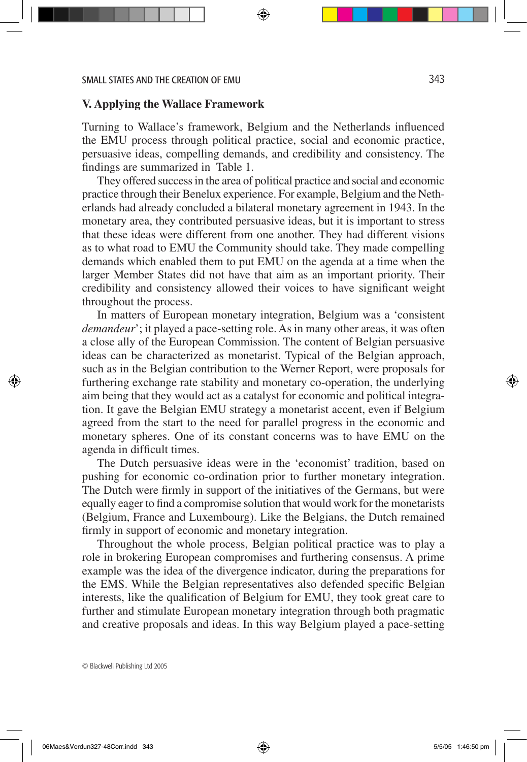#### **V. Applying the Wallace Framework**

Turning to Wallace's framework, Belgium and the Netherlands influenced the EMU process through political practice, social and economic practice, persuasive ideas, compelling demands, and credibility and consistency. The findings are summarized in Table 1.

They offered success in the area of political practice and social and economic practice through their Benelux experience. For example, Belgium and the Netherlands had already concluded a bilateral monetary agreement in 1943. In the monetary area, they contributed persuasive ideas, but it is important to stress that these ideas were different from one another. They had different visions as to what road to EMU the Community should take. They made compelling demands which enabled them to put EMU on the agenda at a time when the larger Member States did not have that aim as an important priority. Their credibility and consistency allowed their voices to have significant weight throughout the process.

In matters of European monetary integration, Belgium was a 'consistent *demandeur*'; it played a pace-setting role. As in many other areas, it was often a close ally of the European Commission. The content of Belgian persuasive ideas can be characterized as monetarist. Typical of the Belgian approach, such as in the Belgian contribution to the Werner Report, were proposals for furthering exchange rate stability and monetary co-operation, the underlying aim being that they would act as a catalyst for economic and political integration. It gave the Belgian EMU strategy a monetarist accent, even if Belgium agreed from the start to the need for parallel progress in the economic and monetary spheres. One of its constant concerns was to have EMU on the agenda in difficult times.

The Dutch persuasive ideas were in the 'economist' tradition, based on pushing for economic co-ordination prior to further monetary integration. The Dutch were firmly in support of the initiatives of the Germans, but were equally eager to find a compromise solution that would work for the monetarists (Belgium, France and Luxembourg). Like the Belgians, the Dutch remained firmly in support of economic and monetary integration.

Throughout the whole process, Belgian political practice was to play a role in brokering European compromises and furthering consensus. A prime example was the idea of the divergence indicator, during the preparations for the EMS. While the Belgian representatives also defended specific Belgian interests, like the qualification of Belgium for EMU, they took great care to further and stimulate European monetary integration through both pragmatic and creative proposals and ideas. In this way Belgium played a pace-setting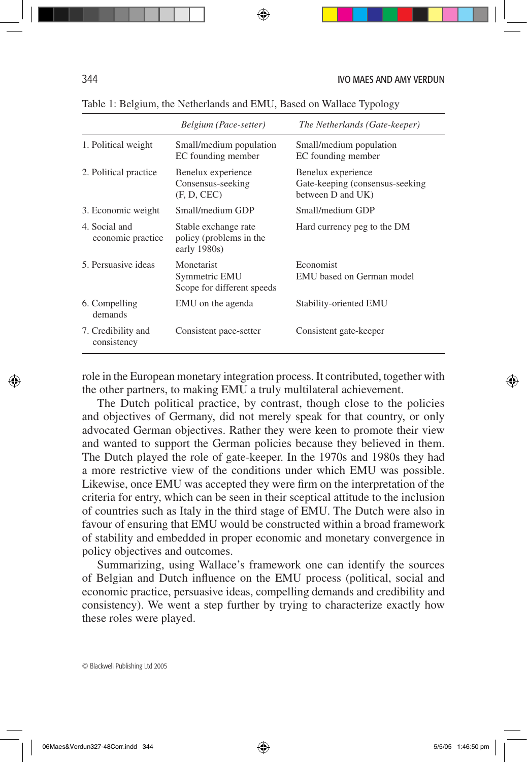|                                    | Belgium (Pace-setter)                                           | The Netherlands (Gate-keeper)                                               |
|------------------------------------|-----------------------------------------------------------------|-----------------------------------------------------------------------------|
| 1. Political weight                | Small/medium population<br>EC founding member                   | Small/medium population<br>EC founding member                               |
| 2. Political practice              | Benelux experience<br>Consensus-seeking<br>(F, D, CEC)          | Benelux experience<br>Gate-keeping (consensus-seeking)<br>between D and UK) |
| 3. Economic weight                 | Small/medium GDP                                                | Small/medium GDP                                                            |
| 4. Social and<br>economic practice | Stable exchange rate<br>policy (problems in the<br>early 1980s) | Hard currency peg to the DM                                                 |
| 5. Persuasive ideas                | Monetarist<br>Symmetric EMU<br>Scope for different speeds       | Economist<br>EMU based on German model                                      |
| 6. Compelling<br>demands           | EMU on the agenda                                               | Stability-oriented EMU                                                      |
| 7. Credibility and<br>consistency  | Consistent pace-setter                                          | Consistent gate-keeper                                                      |

Table 1: Belgium, the Netherlands and EMU, Based on Wallace Typology

role in the European monetary integration process. It contributed, together with the other partners, to making EMU a truly multilateral achievement.

The Dutch political practice, by contrast, though close to the policies and objectives of Germany, did not merely speak for that country, or only advocated German objectives. Rather they were keen to promote their view and wanted to support the German policies because they believed in them. The Dutch played the role of gate-keeper. In the 1970s and 1980s they had a more restrictive view of the conditions under which EMU was possible. Likewise, once EMU was accepted they were firm on the interpretation of the criteria for entry, which can be seen in their sceptical attitude to the inclusion of countries such as Italy in the third stage of EMU. The Dutch were also in favour of ensuring that EMU would be constructed within a broad framework of stability and embedded in proper economic and monetary convergence in policy objectives and outcomes.

Summarizing, using Wallace's framework one can identify the sources of Belgian and Dutch influence on the EMU process (political, social and economic practice, persuasive ideas, compelling demands and credibility and consistency). We went a step further by trying to characterize exactly how these roles were played.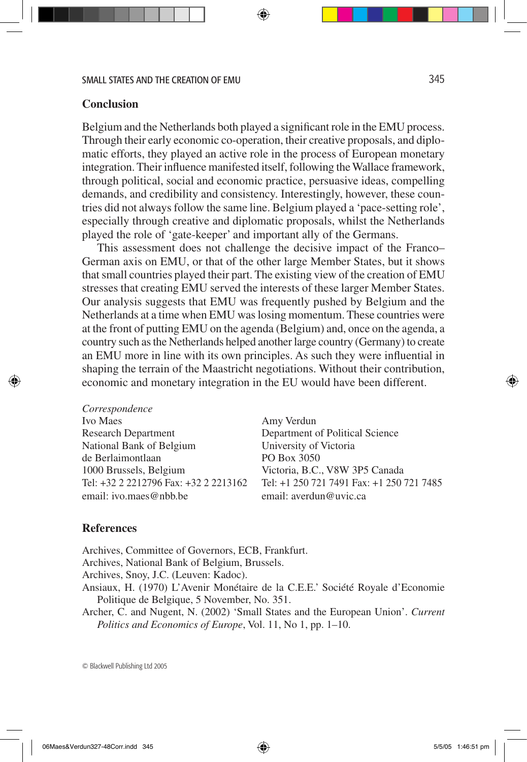## **Conclusion**

Belgium and the Netherlands both played a significant role in the EMU process. Through their early economic co-operation, their creative proposals, and diplomatic efforts, they played an active role in the process of European monetary integration. Their influence manifested itself, following the Wallace framework, through political, social and economic practice, persuasive ideas, compelling demands, and credibility and consistency. Interestingly, however, these countries did not always follow the same line. Belgium played a 'pace-setting role', especially through creative and diplomatic proposals, whilst the Netherlands played the role of 'gate-keeper' and important ally of the Germans.

This assessment does not challenge the decisive impact of the Franco– German axis on EMU, or that of the other large Member States, but it shows that small countries played their part. The existing view of the creation of EMU stresses that creating EMU served the interests of these larger Member States. Our analysis suggests that EMU was frequently pushed by Belgium and the Netherlands at a time when EMU was losing momentum. These countries were at the front of putting EMU on the agenda (Belgium) and, once on the agenda, a country such as the Netherlands helped another large country (Germany) to create an EMU more in line with its own principles. As such they were influential in shaping the terrain of the Maastricht negotiations. Without their contribution, economic and monetary integration in the EU would have been different.

| Correspondence                        |                                           |
|---------------------------------------|-------------------------------------------|
| Ivo Maes                              | Amy Verdun                                |
| <b>Research Department</b>            | Department of Political Science           |
| National Bank of Belgium              | University of Victoria                    |
| de Berlaimontlaan                     | PO Box 3050                               |
| 1000 Brussels, Belgium                | Victoria, B.C., V8W 3P5 Canada            |
| Tel: +32 2 2212796 Fax: +32 2 2213162 | Tel: +1 250 721 7491 Fax: +1 250 721 7485 |
| email: ivo.maes@nbb.be                | email: averdun@uvic.ca                    |

## **References**

Archives, Committee of Governors, ECB, Frankfurt.

Archives, National Bank of Belgium, Brussels.

Archives, Snoy, J.C. (Leuven: Kadoc).

- Ansiaux, H. (1970) L'Avenir Monétaire de la C.E.E.' Société Royale d'Economie Politique de Belgique, 5 November, No. 351.
- Archer, C. and Nugent, N. (2002) 'Small States and the European Union'. *Current Politics and Economics of Europe*, Vol. 11, No 1, pp. 1–10.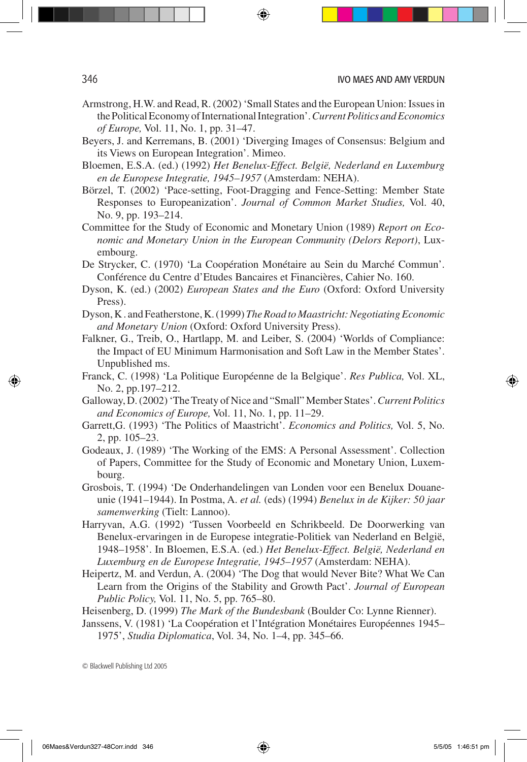- Armstrong, H.W. and Read, R. (2002) 'Small States and the European Union: Issues in the Political Economy of International Integration'. *Current Politics and Economics of Europe,* Vol. 11, No. 1, pp. 31–47.
- Beyers, J. and Kerremans, B. (2001) 'Diverging Images of Consensus: Belgium and its Views on European Integration'. Mimeo.
- Bloemen, E.S.A. (ed.) (1992) *Het Benelux-Effect. België, Nederland en Luxemburg en de Europese Integratie, 1945–1957* (Amsterdam: NEHA).
- Börzel, T. (2002) 'Pace-setting, Foot-Dragging and Fence-Setting: Member State Responses to Europeanization'. *Journal of Common Market Studies,* Vol. 40, No. 9, pp. 193–214.
- Committee for the Study of Economic and Monetary Union (1989) *Report on Economic and Monetary Union in the European Community (Delors Report)*, Luxembourg.
- De Strycker, C. (1970) 'La Coopération Monétaire au Sein du Marché Commun'. Conférence du Centre d'Etudes Bancaires et Financières, Cahier No. 160.
- Dyson, K. (ed.) (2002) *European States and the Euro* (Oxford: Oxford University Press).
- Dyson, K . and Featherstone, K. (1999) *The Road to Maastricht: Negotiating Economic and Monetary Union* (Oxford: Oxford University Press).
- Falkner, G., Treib, O., Hartlapp, M. and Leiber, S. (2004) 'Worlds of Compliance: the Impact of EU Minimum Harmonisation and Soft Law in the Member States'. Unpublished ms.
- Franck, C. (1998) 'La Politique Européenne de la Belgique'. *Res Publica,* Vol. XL, No. 2, pp.197–212.
- Galloway, D. (2002) 'The Treaty of Nice and "Small" Member States'. *Current Politics and Economics of Europe,* Vol. 11, No. 1, pp. 11–29.
- Garrett,G. (1993) 'The Politics of Maastricht'. *Economics and Politics,* Vol. 5, No. 2, pp. 105–23.
- Godeaux, J. (1989) 'The Working of the EMS: A Personal Assessment'. Collection of Papers, Committee for the Study of Economic and Monetary Union, Luxembourg.
- Grosbois, T. (1994) 'De Onderhandelingen van Londen voor een Benelux Douaneunie (1941–1944). In Postma, A. *et al.* (eds) (1994) *Benelux in de Kijker: 50 jaar samenwerking* (Tielt: Lannoo).
- Harryvan, A.G. (1992) 'Tussen Voorbeeld en Schrikbeeld. De Doorwerking van Benelux-ervaringen in de Europese integratie-Politiek van Nederland en België, 1948–1958'. In Bloemen, E.S.A. (ed.) *Het Benelux-Effect. België, Nederland en Luxemburg en de Europese Integratie, 1945–1957* (Amsterdam: NEHA).
- Heipertz, M. and Verdun, A. (2004) 'The Dog that would Never Bite? What We Can Learn from the Origins of the Stability and Growth Pact'. *Journal of European Public Policy,* Vol. 11, No. 5, pp. 765–80.
- Heisenberg, D. (1999) *The Mark of the Bundesbank* (Boulder Co: Lynne Rienner).
- Janssens, V. (1981) 'La Coopération et l'Intégration Monétaires Européennes 1945– 1975', *Studia Diplomatica*, Vol. 34, No. 1–4, pp. 345–66.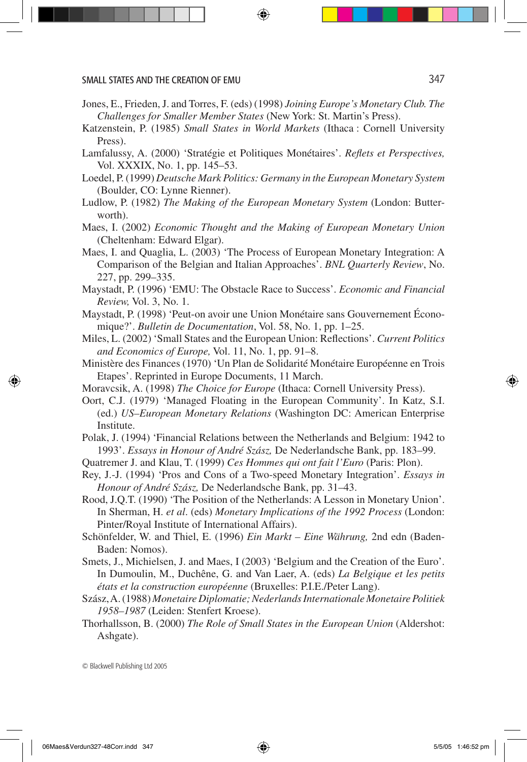- Jones, E., Frieden, J. and Torres, F. (eds) (1998) *Joining Europe's Monetary Club. The Challenges for Smaller Member States* (New York: St. Martin's Press).
- Katzenstein, P. (1985) *Small States in World Markets* (Ithaca : Cornell University Press).
- Lamfalussy, A. (2000) 'Stratégie et Politiques Monétaires'. *Reflets et Perspectives,*  Vol. XXXIX, No. 1, pp. 145–53.
- Loedel, P. (1999) *Deutsche Mark Politics: Germany in the European Monetary System* (Boulder, CO: Lynne Rienner).
- Ludlow, P. (1982) *The Making of the European Monetary System* (London: Butterworth).
- Maes, I. (2002) *Economic Thought and the Making of European Monetary Union*  (Cheltenham: Edward Elgar).
- Maes, I. and Quaglia, L. (2003) 'The Process of European Monetary Integration: A Comparison of the Belgian and Italian Approaches'. *BNL Quarterly Review*, No. 227, pp. 299–335.
- Maystadt, P. (1996) 'EMU: The Obstacle Race to Success'. *Economic and Financial Review,* Vol. 3, No. 1.
- Maystadt, P. (1998) 'Peut-on avoir une Union Monétaire sans Gouvernement Économique?'. *Bulletin de Documentation*, Vol. 58, No. 1, pp. 1–25.
- Miles, L. (2002) 'Small States and the European Union: Reflections'. *Current Politics and Economics of Europe,* Vol. 11, No. 1, pp. 91–8.
- Ministère des Finances (1970) 'Un Plan de Solidarité Monétaire Européenne en Trois Etapes'. Reprinted in Europe Documents, 11 March.
- Moravcsik, A. (1998) *The Choice for Europe* (Ithaca: Cornell University Press).
- Oort, C.J. (1979) 'Managed Floating in the European Community'. In Katz, S.I. (ed.) *US–European Monetary Relations* (Washington DC: American Enterprise Institute.
- Polak, J. (1994) 'Financial Relations between the Netherlands and Belgium: 1942 to 1993'. *Essays in Honour of André Szász,* De Nederlandsche Bank, pp. 183–99.
- Quatremer J. and Klau, T. (1999) *Ces Hommes qui ont fait l'Euro* (Paris: Plon).
- Rey, J.-J. (1994) 'Pros and Cons of a Two-speed Monetary Integration'. *Essays in Honour of André Szász,* De Nederlandsche Bank, pp. 31–43.
- Rood, J.Q.T. (1990) 'The Position of the Netherlands: A Lesson in Monetary Union'. In Sherman, H. *et al*. (eds) *Monetary Implications of the 1992 Process* (London: Pinter/Royal Institute of International Affairs).
- Schönfelder, W. and Thiel, E. (1996) *Ein Markt Eine Währung,* 2nd edn (Baden-Baden: Nomos).
- Smets, J., Michielsen, J. and Maes, I (2003) 'Belgium and the Creation of the Euro'. In Dumoulin, M., Duchêne, G. and Van Laer, A. (eds) *La Belgique et les petits états et la construction européenne* (Bruxelles: P.I.E./Peter Lang).
- Szász, A. (1988) *Monetaire Diplomatie; Nederlands Internationale Monetaire Politiek 1958–1987* (Leiden: Stenfert Kroese).
- Thorhallsson, B. (2000) *The Role of Small States in the European Union* (Aldershot: Ashgate).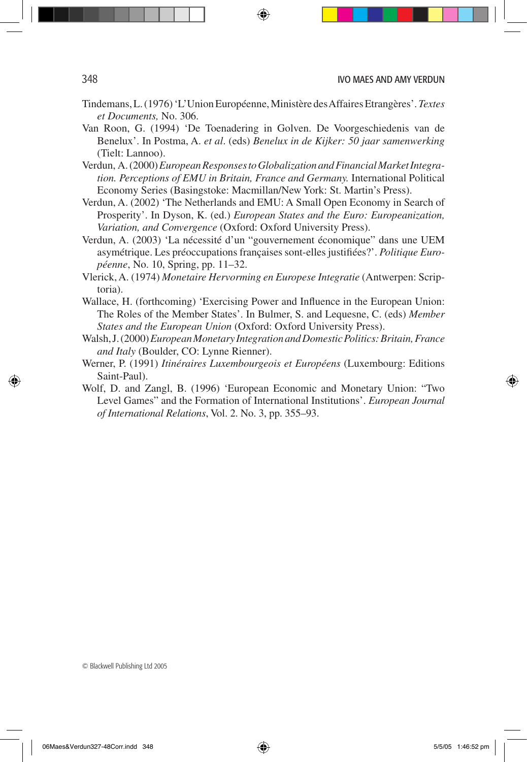- Tindemans, L. (1976) 'L'Union Européenne, Ministère des Affaires Etrangères'. *Textes et Documents,* No. 306.
- Van Roon, G. (1994) 'De Toenadering in Golven. De Voorgeschiedenis van de Benelux'. In Postma, A. *et al*. (eds) *Benelux in de Kijker: 50 jaar samenwerking* (Tielt: Lannoo).
- Verdun, A. (2000) *European Responses to Globalization and Financial Market Integration. Perceptions of EMU in Britain, France and Germany.* International Political Economy Series (Basingstoke: Macmillan/New York: St. Martin's Press).
- Verdun, A. (2002) 'The Netherlands and EMU: A Small Open Economy in Search of Prosperity'. In Dyson, K. (ed.) *European States and the Euro: Europeanization, Variation, and Convergence* (Oxford: Oxford University Press).
- Verdun, A. (2003) 'La nécessité d'un "gouvernement économique" dans une UEM asymétrique. Les préoccupations françaises sont-elles justifiées?'. *Politique Européenne*, No. 10, Spring, pp. 11–32.
- Vlerick, A. (1974) *Monetaire Hervorming en Europese Integratie* (Antwerpen: Scriptoria).
- Wallace, H. (forthcoming) 'Exercising Power and Influence in the European Union: The Roles of the Member States'. In Bulmer, S. and Lequesne, C. (eds) *Member States and the European Union* (Oxford: Oxford University Press).
- Walsh, J. (2000) *European Monetary Integration and Domestic Politics: Britain, France and Italy* (Boulder, CO: Lynne Rienner).
- Werner, P. (1991) *Itinéraires Luxembourgeois et Européens* (Luxembourg: Editions Saint-Paul).
- Wolf, D. and Zangl, B. (1996) 'European Economic and Monetary Union: "Two Level Games" and the Formation of International Institutions'. *European Journal of International Relations*, Vol. 2. No. 3, pp. 355–93.